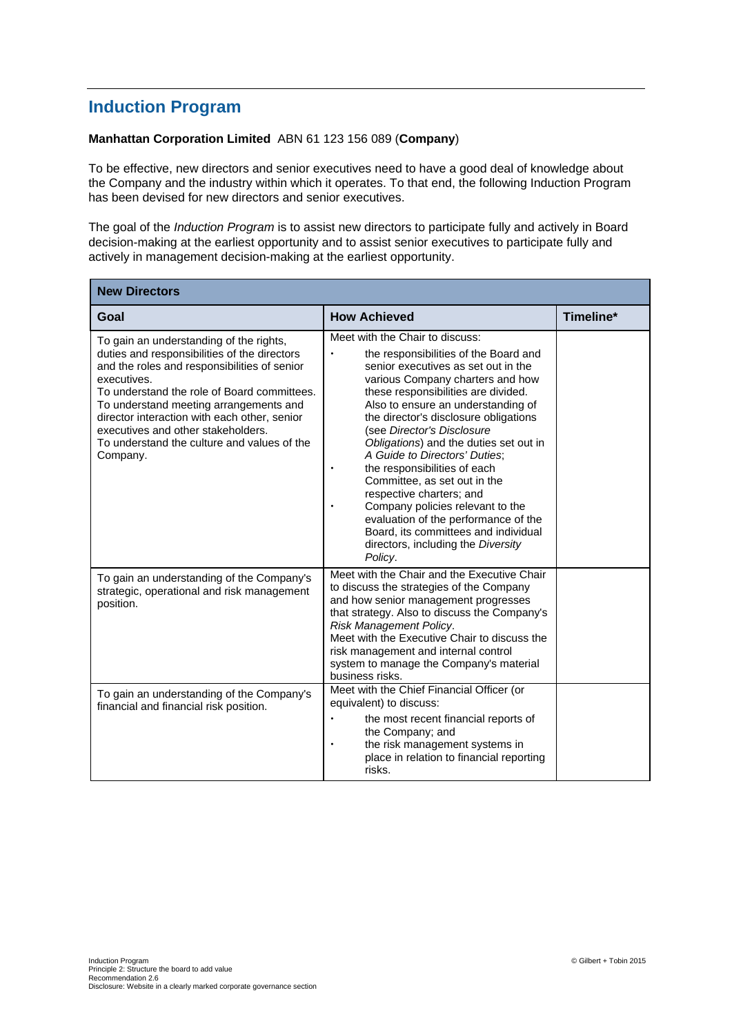## **Induction Program**

## **Manhattan Corporation Limited** ABN 61 123 156 089 (**Company**)

To be effective, new directors and senior executives need to have a good deal of knowledge about the Company and the industry within which it operates. To that end, the following Induction Program has been devised for new directors and senior executives.

The goal of the *Induction Program* is to assist new directors to participate fully and actively in Board decision-making at the earliest opportunity and to assist senior executives to participate fully and actively in management decision-making at the earliest opportunity.

| <b>New Directors</b>                                                                                                                                                                                                                                                                                                                                                                             |                                                                                                                                                                                                                                                                                                                                                                                                                                                                                                                                                                                                                                                     |           |  |
|--------------------------------------------------------------------------------------------------------------------------------------------------------------------------------------------------------------------------------------------------------------------------------------------------------------------------------------------------------------------------------------------------|-----------------------------------------------------------------------------------------------------------------------------------------------------------------------------------------------------------------------------------------------------------------------------------------------------------------------------------------------------------------------------------------------------------------------------------------------------------------------------------------------------------------------------------------------------------------------------------------------------------------------------------------------------|-----------|--|
| Goal                                                                                                                                                                                                                                                                                                                                                                                             | <b>How Achieved</b>                                                                                                                                                                                                                                                                                                                                                                                                                                                                                                                                                                                                                                 | Timeline* |  |
| To gain an understanding of the rights,<br>duties and responsibilities of the directors<br>and the roles and responsibilities of senior<br>executives.<br>To understand the role of Board committees.<br>To understand meeting arrangements and<br>director interaction with each other, senior<br>executives and other stakeholders.<br>To understand the culture and values of the<br>Company. | Meet with the Chair to discuss:<br>the responsibilities of the Board and<br>senior executives as set out in the<br>various Company charters and how<br>these responsibilities are divided.<br>Also to ensure an understanding of<br>the director's disclosure obligations<br>(see Director's Disclosure<br>Obligations) and the duties set out in<br>A Guide to Directors' Duties;<br>the responsibilities of each<br>Committee, as set out in the<br>respective charters; and<br>Company policies relevant to the<br>evaluation of the performance of the<br>Board, its committees and individual<br>directors, including the Diversity<br>Policy. |           |  |
| To gain an understanding of the Company's<br>strategic, operational and risk management<br>position.                                                                                                                                                                                                                                                                                             | Meet with the Chair and the Executive Chair<br>to discuss the strategies of the Company<br>and how senior management progresses<br>that strategy. Also to discuss the Company's<br>Risk Management Policy.<br>Meet with the Executive Chair to discuss the<br>risk management and internal control<br>system to manage the Company's material<br>business risks.                                                                                                                                                                                                                                                                                    |           |  |
| To gain an understanding of the Company's<br>financial and financial risk position.                                                                                                                                                                                                                                                                                                              | Meet with the Chief Financial Officer (or<br>equivalent) to discuss:<br>the most recent financial reports of<br>the Company; and<br>the risk management systems in<br>place in relation to financial reporting<br>risks.                                                                                                                                                                                                                                                                                                                                                                                                                            |           |  |